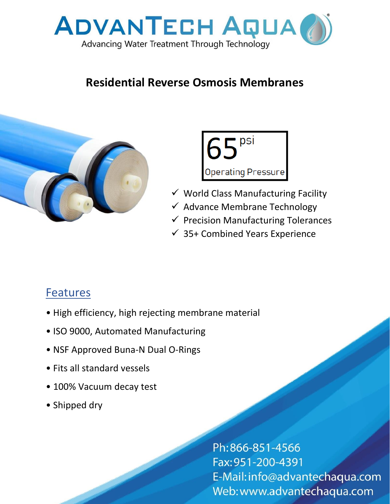

## **Residential Reverse Osmosis Membranes**





- ✓ World Class Manufacturing Facility
- $\checkmark$  Advance Membrane Technology
- $\checkmark$  Precision Manufacturing Tolerances
- $\checkmark$  35+ Combined Years Experience

## Features

- High efficiency, high rejecting membrane material
- ISO 9000, Automated Manufacturing
- NSF Approved Buna-N Dual O-Rings
- Fits all standard vessels
- 100% Vacuum decay test
- Shipped dry

Ph:866-851-4566 Fax: 951-200-4391 E-Mail: info@advantechaqua.com Web: www.advantechaqua.com